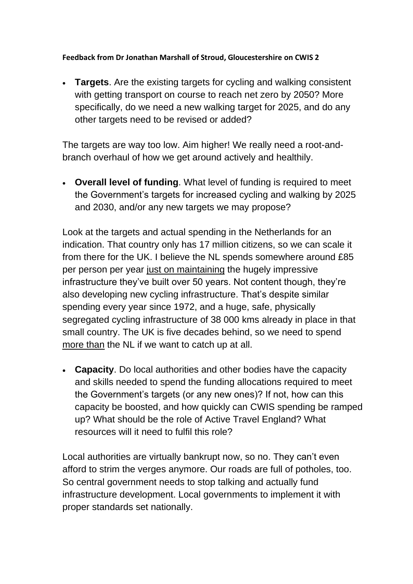**Feedback from Dr Jonathan Marshall of Stroud, Gloucestershire on CWIS 2**

• **Targets**. Are the existing targets for cycling and walking consistent with getting transport on course to reach net zero by 2050? More specifically, do we need a new walking target for 2025, and do any other targets need to be revised or added?

The targets are way too low. Aim higher! We really need a root-andbranch overhaul of how we get around actively and healthily.

• **Overall level of funding**. What level of funding is required to meet the Government's targets for increased cycling and walking by 2025 and 2030, and/or any new targets we may propose?

Look at the targets and actual spending in the Netherlands for an indication. That country only has 17 million citizens, so we can scale it from there for the UK. I believe the NL spends somewhere around £85 per person per year just on maintaining the hugely impressive infrastructure they've built over 50 years. Not content though, they're also developing new cycling infrastructure. That's despite similar spending every year since 1972, and a huge, safe, physically segregated cycling infrastructure of 38 000 kms already in place in that small country. The UK is five decades behind, so we need to spend more than the NL if we want to catch up at all.

• **Capacity**. Do local authorities and other bodies have the capacity and skills needed to spend the funding allocations required to meet the Government's targets (or any new ones)? If not, how can this capacity be boosted, and how quickly can CWIS spending be ramped up? What should be the role of Active Travel England? What resources will it need to fulfil this role?

Local authorities are virtually bankrupt now, so no. They can't even afford to strim the verges anymore. Our roads are full of potholes, too. So central government needs to stop talking and actually fund infrastructure development. Local governments to implement it with proper standards set nationally.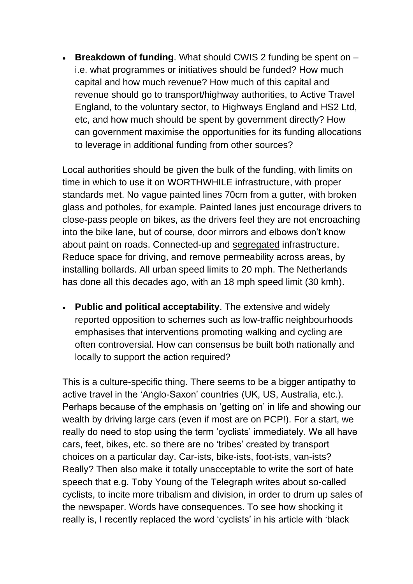• **Breakdown of funding**. What should CWIS 2 funding be spent on – i.e. what programmes or initiatives should be funded? How much capital and how much revenue? How much of this capital and revenue should go to transport/highway authorities, to Active Travel England, to the voluntary sector, to Highways England and HS2 Ltd, etc, and how much should be spent by government directly? How can government maximise the opportunities for its funding allocations to leverage in additional funding from other sources?

Local authorities should be given the bulk of the funding, with limits on time in which to use it on WORTHWHILE infrastructure, with proper standards met. No vague painted lines 70cm from a gutter, with broken glass and potholes, for example. Painted lanes just encourage drivers to close-pass people on bikes, as the drivers feel they are not encroaching into the bike lane, but of course, door mirrors and elbows don't know about paint on roads. Connected-up and segregated infrastructure. Reduce space for driving, and remove permeability across areas, by installing bollards. All urban speed limits to 20 mph. The Netherlands has done all this decades ago, with an 18 mph speed limit (30 kmh).

• **Public and political acceptability**. The extensive and widely reported opposition to schemes such as low-traffic neighbourhoods emphasises that interventions promoting walking and cycling are often controversial. How can consensus be built both nationally and locally to support the action required?

This is a culture-specific thing. There seems to be a bigger antipathy to active travel in the 'Anglo-Saxon' countries (UK, US, Australia, etc.). Perhaps because of the emphasis on 'getting on' in life and showing our wealth by driving large cars (even if most are on PCP!). For a start, we really do need to stop using the term 'cyclists' immediately. We all have cars, feet, bikes, etc. so there are no 'tribes' created by transport choices on a particular day. Car-ists, bike-ists, foot-ists, van-ists? Really? Then also make it totally unacceptable to write the sort of hate speech that e.g. Toby Young of the Telegraph writes about so-called cyclists, to incite more tribalism and division, in order to drum up sales of the newspaper. Words have consequences. To see how shocking it really is, I recently replaced the word 'cyclists' in his article with 'black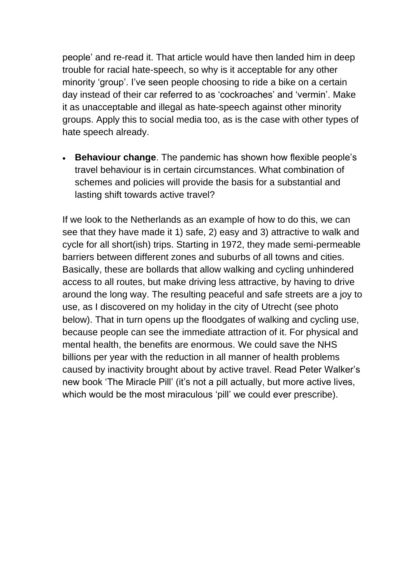people' and re-read it. That article would have then landed him in deep trouble for racial hate-speech, so why is it acceptable for any other minority 'group'. I've seen people choosing to ride a bike on a certain day instead of their car referred to as 'cockroaches' and 'vermin'. Make it as unacceptable and illegal as hate-speech against other minority groups. Apply this to social media too, as is the case with other types of hate speech already.

• **Behaviour change**. The pandemic has shown how flexible people's travel behaviour is in certain circumstances. What combination of schemes and policies will provide the basis for a substantial and lasting shift towards active travel?

If we look to the Netherlands as an example of how to do this, we can see that they have made it 1) safe, 2) easy and 3) attractive to walk and cycle for all short(ish) trips. Starting in 1972, they made semi-permeable barriers between different zones and suburbs of all towns and cities. Basically, these are bollards that allow walking and cycling unhindered access to all routes, but make driving less attractive, by having to drive around the long way. The resulting peaceful and safe streets are a joy to use, as I discovered on my holiday in the city of Utrecht (see photo below). That in turn opens up the floodgates of walking and cycling use, because people can see the immediate attraction of it. For physical and mental health, the benefits are enormous. We could save the NHS billions per year with the reduction in all manner of health problems caused by inactivity brought about by active travel. Read Peter Walker's new book 'The Miracle Pill' (it's not a pill actually, but more active lives, which would be the most miraculous 'pill' we could ever prescribe).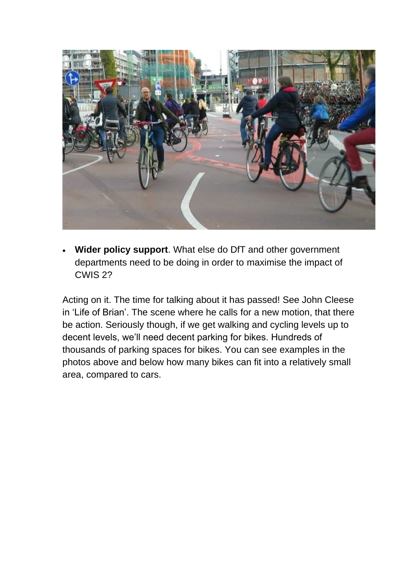

• **Wider policy support**. What else do DfT and other government departments need to be doing in order to maximise the impact of CWIS 2?

Acting on it. The time for talking about it has passed! See John Cleese in 'Life of Brian'. The scene where he calls for a new motion, that there be action. Seriously though, if we get walking and cycling levels up to decent levels, we'll need decent parking for bikes. Hundreds of thousands of parking spaces for bikes. You can see examples in the photos above and below how many bikes can fit into a relatively small area, compared to cars.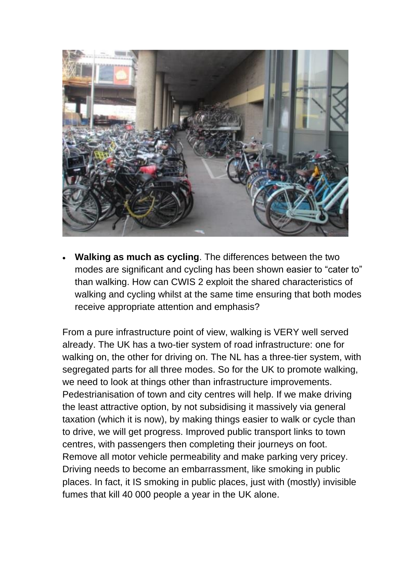

• **Walking as much as cycling**. The differences between the two modes are significant and cycling has been shown easier to "cater to" than walking. How can CWIS 2 exploit the shared characteristics of walking and cycling whilst at the same time ensuring that both modes receive appropriate attention and emphasis?

From a pure infrastructure point of view, walking is VERY well served already. The UK has a two-tier system of road infrastructure: one for walking on, the other for driving on. The NL has a three-tier system, with segregated parts for all three modes. So for the UK to promote walking, we need to look at things other than infrastructure improvements. Pedestrianisation of town and city centres will help. If we make driving the least attractive option, by not subsidising it massively via general taxation (which it is now), by making things easier to walk or cycle than to drive, we will get progress. Improved public transport links to town centres, with passengers then completing their journeys on foot. Remove all motor vehicle permeability and make parking very pricey. Driving needs to become an embarrassment, like smoking in public places. In fact, it IS smoking in public places, just with (mostly) invisible fumes that kill 40 000 people a year in the UK alone.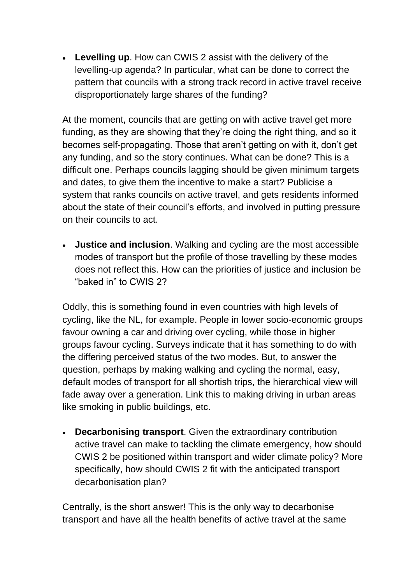• **Levelling up**. How can CWIS 2 assist with the delivery of the levelling-up agenda? In particular, what can be done to correct the pattern that councils with a strong track record in active travel receive disproportionately large shares of the funding?

At the moment, councils that are getting on with active travel get more funding, as they are showing that they're doing the right thing, and so it becomes self-propagating. Those that aren't getting on with it, don't get any funding, and so the story continues. What can be done? This is a difficult one. Perhaps councils lagging should be given minimum targets and dates, to give them the incentive to make a start? Publicise a system that ranks councils on active travel, and gets residents informed about the state of their council's efforts, and involved in putting pressure on their councils to act.

• **Justice and inclusion**. Walking and cycling are the most accessible modes of transport but the profile of those travelling by these modes does not reflect this. How can the priorities of justice and inclusion be "baked in" to CWIS 2?

Oddly, this is something found in even countries with high levels of cycling, like the NL, for example. People in lower socio-economic groups favour owning a car and driving over cycling, while those in higher groups favour cycling. Surveys indicate that it has something to do with the differing perceived status of the two modes. But, to answer the question, perhaps by making walking and cycling the normal, easy, default modes of transport for all shortish trips, the hierarchical view will fade away over a generation. Link this to making driving in urban areas like smoking in public buildings, etc.

• **Decarbonising transport**. Given the extraordinary contribution active travel can make to tackling the climate emergency, how should CWIS 2 be positioned within transport and wider climate policy? More specifically, how should CWIS 2 fit with the anticipated transport decarbonisation plan?

Centrally, is the short answer! This is the only way to decarbonise transport and have all the health benefits of active travel at the same